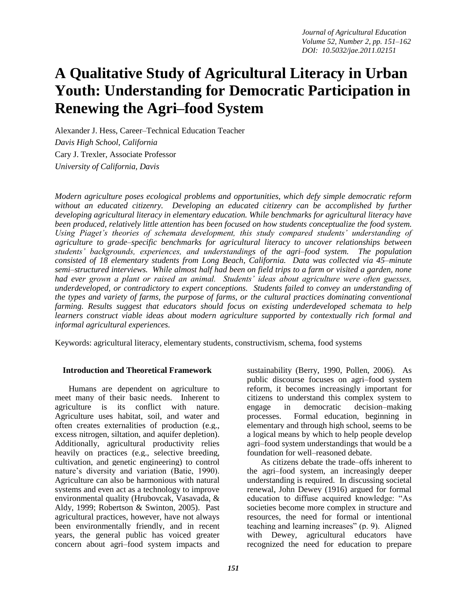# **A Qualitative Study of Agricultural Literacy in Urban Youth: Understanding for Democratic Participation in Renewing the Agri–food System**

Alexander J. Hess, Career–Technical Education Teacher *Davis High School, California* Cary J. Trexler, Associate Professor *University of California, Davis*

*Modern agriculture poses ecological problems and opportunities, which defy simple democratic reform without an educated citizenry. Developing an educated citizenry can be accomplished by further developing agricultural literacy in elementary education. While benchmarks for agricultural literacy have been produced, relatively little attention has been focused on how students conceptualize the food system. Using Piaget's theories of schemata development, this study compared students' understanding of agriculture to grade–specific benchmarks for agricultural literacy to uncover relationships between students' backgrounds, experiences, and understandings of the agri–food system. The population consisted of 18 elementary students from Long Beach, California. Data was collected via 45–minute semi–structured interviews. While almost half had been on field trips to a farm or visited a garden, none had ever grown a plant or raised an animal. Students' ideas about agriculture were often guesses, underdeveloped, or contradictory to expert conceptions. Students failed to convey an understanding of the types and variety of farms, the purpose of farms, or the cultural practices dominating conventional farming. Results suggest that educators should focus on existing underdeveloped schemata to help learners construct viable ideas about modern agriculture supported by contextually rich formal and informal agricultural experiences.*

Keywords: agricultural literacy, elementary students, constructivism, schema, food systems

## **Introduction and Theoretical Framework**

Humans are dependent on agriculture to meet many of their basic needs. Inherent to agriculture is its conflict with nature. Agriculture uses habitat, soil, and water and often creates externalities of production (e.g., excess nitrogen, siltation, and aquifer depletion). Additionally, agricultural productivity relies heavily on practices (e.g., selective breeding, cultivation, and genetic engineering) to control nature's diversity and variation (Batie, 1990). Agriculture can also be harmonious with natural systems and even act as a technology to improve environmental quality (Hrubovcak, Vasavada, & Aldy, 1999; Robertson & Swinton, 2005). Past agricultural practices, however, have not always been environmentally friendly, and in recent years, the general public has voiced greater concern about agri–food system impacts and sustainability (Berry, 1990, Pollen, 2006). As public discourse focuses on agri–food system reform, it becomes increasingly important for citizens to understand this complex system to engage in democratic decision–making processes. Formal education, beginning in elementary and through high school, seems to be a logical means by which to help people develop agri–food system understandings that would be a foundation for well–reasoned debate. As citizens debate the trade–offs inherent to

the agri–food system, an increasingly deeper understanding is required. In discussing societal renewal, John Dewey (1916) argued for formal education to diffuse acquired knowledge: "As societies become more complex in structure and resources, the need for formal or intentional teaching and learning increases" (p. 9). Aligned with Dewey, agricultural educators have recognized the need for education to prepare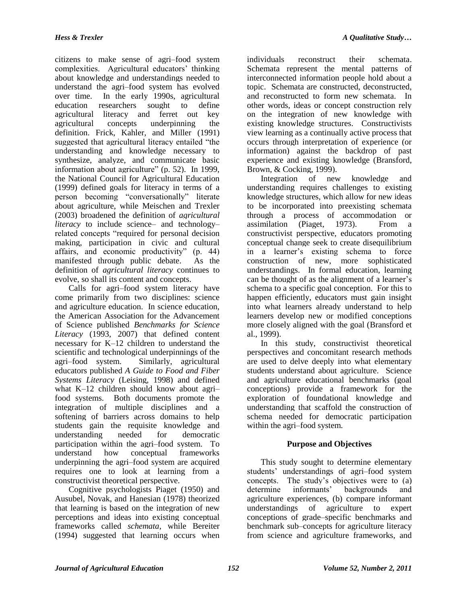citizens to make sense of agri–food system complexities. Agricultural educators' thinking about knowledge and understandings needed to understand the agri–food system has evolved over time. In the early 1990s, agricultural education researchers sought to define agricultural literacy and ferret out key agricultural concepts underpinning the definition. Frick, Kahler, and Miller (1991) suggested that agricultural literacy entailed "the understanding and knowledge necessary to synthesize, analyze, and communicate basic information about agriculture" (p. 52). In 1999, the National Council for Agricultural Education (1999) defined goals for literacy in terms of a person becoming "conversationally" literate

about agriculture, while Meischen and Trexler (2003) broadened the definition of *agricultural literacy* to include science– and technology– related concepts "required for personal decision making, participation in civic and cultural affairs, and economic productivity" (p. 44) manifested through public debate. As the definition of *agricultural literacy* continues to evolve, so shall its content and concepts.

Calls for agri–food system literacy have come primarily from two disciplines: science and agriculture education. In science education, the American Association for the Advancement of Science published *Benchmarks for Science Literacy* (1993, 2007) that defined content necessary for K–12 children to understand the scientific and technological underpinnings of the agri–food system. Similarly, agricultural educators published *A Guide to Food and Fiber Systems Literacy* (Leising, 1998) and defined what K–12 children should know about agri– food systems. Both documents promote the integration of multiple disciplines and a softening of barriers across domains to help students gain the requisite knowledge and understanding needed for democratic participation within the agri–food system. To understand how conceptual frameworks underpinning the agri–food system are acquired requires one to look at learning from a constructivist theoretical perspective.

Cognitive psychologists Piaget (1950) and Ausubel, Novak, and Hanesian (1978) theorized that learning is based on the integration of new perceptions and ideas into existing conceptual frameworks called *schemata*, while Bereiter (1994) suggested that learning occurs when individuals reconstruct their schemata. Schemata represent the mental patterns of interconnected information people hold about a topic. Schemata are constructed, deconstructed, and reconstructed to form new schemata. In other words, ideas or concept construction rely on the integration of new knowledge with existing knowledge structures. Constructivists view learning as a continually active process that occurs through interpretation of experience (or information) against the backdrop of past experience and existing knowledge (Bransford, Brown, & Cocking, 1999).

Integration of new knowledge and understanding requires challenges to existing knowledge structures, which allow for new ideas to be incorporated into preexisting schemata through a process of accommodation or assimilation (Piaget, 1973). From a constructivist perspective, educators promoting conceptual change seek to create disequilibrium in a learner's existing schema to force construction of new, more sophisticated understandings. In formal education, learning can be thought of as the alignment of a learner's schema to a specific goal conception. For this to happen efficiently, educators must gain insight into what learners already understand to help learners develop new or modified conceptions more closely aligned with the goal (Bransford et al., 1999).

In this study, constructivist theoretical perspectives and concomitant research methods are used to delve deeply into what elementary students understand about agriculture. Science and agriculture educational benchmarks (goal conceptions) provide a framework for the exploration of foundational knowledge and understanding that scaffold the construction of schema needed for democratic participation within the agri–food system.

# **Purpose and Objectives**

This study sought to determine elementary students' understandings of agri–food system concepts. The study's objectives were to (a) determine informants' backgrounds and agriculture experiences, (b) compare informant understandings of agriculture to expert conceptions of grade–specific benchmarks and benchmark sub–concepts for agriculture literacy from science and agriculture frameworks, and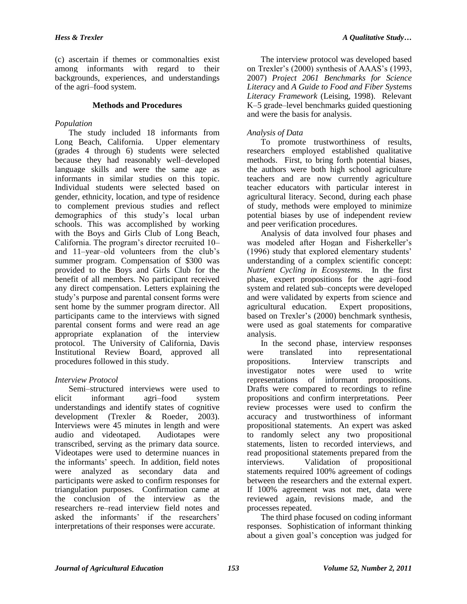(c) ascertain if themes or commonalties exist among informants with regard to their backgrounds, experiences, and understandings of the agri–food system.

# **Methods and Procedures**

# *Population*

The study included 18 informants from Long Beach, California. Upper elementary (grades 4 through 6) students were selected because they had reasonably well–developed language skills and were the same age as informants in similar studies on this topic. Individual students were selected based on gender, ethnicity, location, and type of residence to complement previous studies and reflect demographics of this study's local urban schools. This was accomplished by working with the Boys and Girls Club of Long Beach, California. The program's director recruited 10– and 11–year–old volunteers from the club's summer program. Compensation of \$300 was provided to the Boys and Girls Club for the benefit of all members. No participant received any direct compensation. Letters explaining the study's purpose and parental consent forms were sent home by the summer program director. All participants came to the interviews with signed parental consent forms and were read an age appropriate explanation of the interview protocol. The University of California, Davis Institutional Review Board, approved all procedures followed in this study.

# *Interview Protocol*

Semi–structured interviews were used to elicit informant agri–food system understandings and identify states of cognitive development (Trexler & Roeder, 2003). Interviews were 45 minutes in length and were audio and videotaped. Audiotapes were transcribed, serving as the primary data source. Videotapes were used to determine nuances in the informants' speech. In addition, field notes were analyzed as secondary data and participants were asked to confirm responses for triangulation purposes. Confirmation came at the conclusion of the interview as the researchers re–read interview field notes and asked the informants' if the researchers' interpretations of their responses were accurate.

The interview protocol was developed based on Trexler's (2000) synthesis of AAAS's (1993, 2007) *Project 2061 Benchmarks for Science Literacy* and *A Guide to Food and Fiber Systems Literacy Framework* (Leising, 1998). Relevant K–5 grade–level benchmarks guided questioning and were the basis for analysis.

# *Analysis of Data*

To promote trustworthiness of results, researchers employed established qualitative methods. First, to bring forth potential biases, the authors were both high school agriculture teachers and are now currently agriculture teacher educators with particular interest in agricultural literacy. Second, during each phase of study, methods were employed to minimize potential biases by use of independent review and peer verification procedures.

Analysis of data involved four phases and was modeled after Hogan and Fisherkeller's (1996) study that explored elementary students' understanding of a complex scientific concept: *Nutrient Cycling in Ecosystems*. In the first phase, expert propositions for the agri–food system and related sub–concepts were developed and were validated by experts from science and agricultural education. Expert propositions, based on Trexler's (2000) benchmark synthesis, were used as goal statements for comparative analysis.

In the second phase, interview responses were translated into representational propositions. Interview transcripts and investigator notes were used to write representations of informant propositions. Drafts were compared to recordings to refine propositions and confirm interpretations. Peer review processes were used to confirm the accuracy and trustworthiness of informant propositional statements. An expert was asked to randomly select any two propositional statements, listen to recorded interviews, and read propositional statements prepared from the interviews. Validation of propositional statements required 100% agreement of codings between the researchers and the external expert. If 100% agreement was not met, data were reviewed again, revisions made, and the processes repeated.

The third phase focused on coding informant responses. Sophistication of informant thinking about a given goal's conception was judged for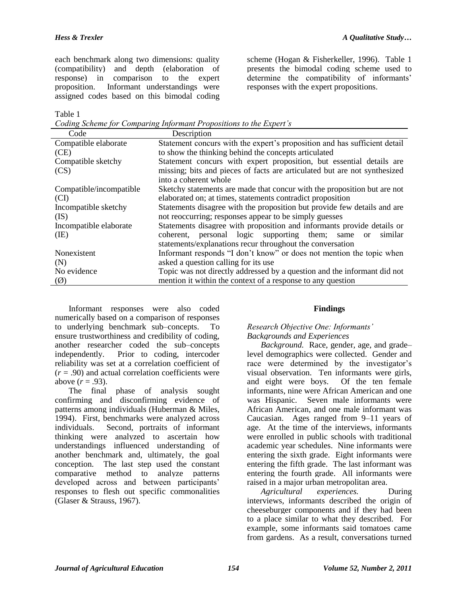each benchmark along two dimensions: quality (compatibility) and depth (elaboration of response) in comparison to the expert proposition. Informant understandings were assigned codes based on this bimodal coding scheme (Hogan & Fisherkeller, 1996). Table 1 presents the bimodal coding scheme used to determine the compatibility of informants' responses with the expert propositions.

Table 1

*Coding Scheme for Comparing Informant Propositions to the Expert's*

| Code                    | Description                                                                   |
|-------------------------|-------------------------------------------------------------------------------|
| Compatible elaborate    | Statement concurs with the expert's proposition and has sufficient detail     |
| (CE)                    | to show the thinking behind the concepts articulated                          |
| Compatible sketchy      | Statement concurs with expert proposition, but essential details are          |
| (CS)                    | missing; bits and pieces of facts are articulated but are not synthesized     |
|                         | into a coherent whole                                                         |
| Compatible/incompatible | Sketchy statements are made that concur with the proposition but are not      |
| (CI)                    | elaborated on; at times, statements contradict proposition                    |
| Incompatible sketchy    | Statements disagree with the proposition but provide few details and are      |
| (IS)                    | not reoccurring; responses appear to be simply guesses                        |
| Incompatible elaborate  | Statements disagree with proposition and informants provide details or        |
| (IE)                    | personal logic supporting them; same<br>similar<br>coherent.<br><sub>or</sub> |
|                         | statements/explanations recur throughout the conversation                     |
| Nonexistent             | Informant responds "I don't know" or does not mention the topic when          |
| (N)                     | asked a question calling for its use                                          |
| No evidence             | Topic was not directly addressed by a question and the informant did not      |
| $\circledR$             | mention it within the context of a response to any question                   |

Informant responses were also coded numerically based on a comparison of responses to underlying benchmark sub–concepts. To ensure trustworthiness and credibility of coding, another researcher coded the sub–concepts independently. Prior to coding, intercoder reliability was set at a correlation coefficient of  $(r = .90)$  and actual correlation coefficients were above  $(r = .93)$ .

The final phase of analysis sought confirming and disconfirming evidence of patterns among individuals (Huberman & Miles, 1994). First, benchmarks were analyzed across individuals. Second, portraits of informant thinking were analyzed to ascertain how understandings influenced understanding of another benchmark and, ultimately, the goal conception. The last step used the constant comparative method to analyze patterns developed across and between participants' responses to flesh out specific commonalities (Glaser & Strauss, 1967).

# **Findings**

# *Research Objective One: Informants' Backgrounds and Experiences*

*Background.*Race, gender, age, and grade– level demographics were collected. Gender and race were determined by the investigator's visual observation. Ten informants were girls,<br>and eight were boys. Of the ten female and eight were boys. informants, nine were African American and one was Hispanic. Seven male informants were African American, and one male informant was Caucasian. Ages ranged from 9–11 years of age. At the time of the interviews, informants were enrolled in public schools with traditional academic year schedules. Nine informants were entering the sixth grade. Eight informants were entering the fifth grade. The last informant was entering the fourth grade. All informants were raised in a major urban metropolitan area.

*Agricultural experiences.*During interviews, informants described the origin of cheeseburger components and if they had been to a place similar to what they described. For example, some informants said tomatoes came from gardens. As a result, conversations turned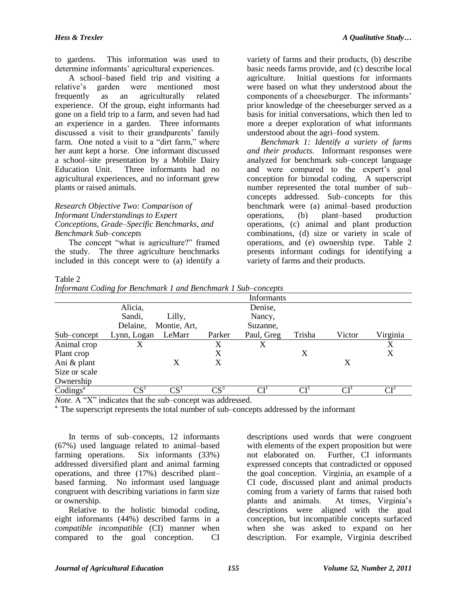to gardens. This information was used to determine informants' agricultural experiences.

A school–based field trip and visiting a relative's garden were mentioned most frequently as an agriculturally related experience. Of the group, eight informants had gone on a field trip to a farm, and seven had had an experience in a garden. Three informants discussed a visit to their grandparents' family farm. One noted a visit to a "dirt farm," where her aunt kept a horse. One informant discussed a school–site presentation by a Mobile Dairy Education Unit. Three informants had no agricultural experiences, and no informant grew plants or raised animals.

## *Research Objective Two: Comparison of Informant Understandings to Expert Conceptions, Grade–Specific Benchmarks, and Benchmark Sub–concepts*

The concept "what is agriculture?" framed the study. The three agriculture benchmarks included in this concept were to (a) identify a variety of farms and their products, (b) describe basic needs farms provide, and (c) describe local agriculture. Initial questions for informants were based on what they understood about the components of a cheeseburger. The informants' prior knowledge of the cheeseburger served as a basis for initial conversations, which then led to more a deeper exploration of what informants understood about the agri–food system.

*Benchmark 1: Identify a variety of farms and their products.*Informant responses were analyzed for benchmark sub–concept language and were compared to the expert's goal conception for bimodal coding. A superscript number represented the total number of sub– concepts addressed. Sub–concepts for this benchmark were (a) animal–based production operations, (b) plant–based production operations, (c) animal and plant production combinations, (d) size or variety in scale of operations, and (e) ownership type. Table 2 presents informant codings for identifying a variety of farms and their products.

## Table 2

|  |  |  | Informant Coding for Benchmark 1 and Benchmark 1 Sub-concepts |
|--|--|--|---------------------------------------------------------------|
|  |  |  |                                                               |

|                             | .                                                                 |              |                          | Informants                            |                                                |        |                          |
|-----------------------------|-------------------------------------------------------------------|--------------|--------------------------|---------------------------------------|------------------------------------------------|--------|--------------------------|
|                             | Alicia,                                                           |              |                          | Denise,                               |                                                |        |                          |
|                             | Sandi,                                                            | Lilly,       |                          | Nancy,                                |                                                |        |                          |
|                             | Delaine,                                                          | Montie, Art, |                          | Suzanne,                              |                                                |        |                          |
| Sub–concept                 | Lynn, Logan                                                       | LeMarr       | Parker                   | Paul, Greg                            | Trisha                                         | Victor | Virginia                 |
| Animal crop                 | X                                                                 |              | X                        | X                                     |                                                |        | X                        |
| Plant crop                  |                                                                   |              | X                        |                                       | X                                              |        | X                        |
| Ani & plant                 |                                                                   | X            | X                        |                                       |                                                | X      |                          |
| Size or scale               |                                                                   |              |                          |                                       |                                                |        |                          |
| Ownership                   |                                                                   |              |                          |                                       |                                                |        |                          |
| $\text{Codings}^{\text{a}}$ | CS <sup>1</sup>                                                   | $CS^1$       | $\mathbb{C}\mathbb{S}^3$ | $\mathrm{CI}^{\scriptscriptstyle{1}}$ | $\mathrm{CI}^{\scriptscriptstyle{\mathrm{I}}}$ | CI'    | $\mathbf{C}\mathbf{I}^2$ |
|                             | <i>Note</i> . A "X" indicates that the sub-concept was addressed. |              |                          |                                       |                                                |        |                          |

<sup>a.</sup> The superscript represents the total number of sub–concepts addressed by the informant

In terms of sub–concepts, 12 informants (67%) used language related to animal–based farming operations. Six informants (33%) addressed diversified plant and animal farming operations, and three (17%) described plant– based farming. No informant used language congruent with describing variations in farm size or ownership.

Relative to the holistic bimodal coding, eight informants (44%) described farms in a *compatible incompatible* (CI) manner when compared to the goal conception. CI

descriptions used words that were congruent with elements of the expert proposition but were not elaborated on. Further, CI informants expressed concepts that contradicted or opposed the goal conception. Virginia, an example of a CI code, discussed plant and animal products coming from a variety of farms that raised both<br>plants and animals. At times. Virginia's At times, Virginia's descriptions were aligned with the goal conception, but incompatible concepts surfaced when she was asked to expand on her description. For example, Virginia described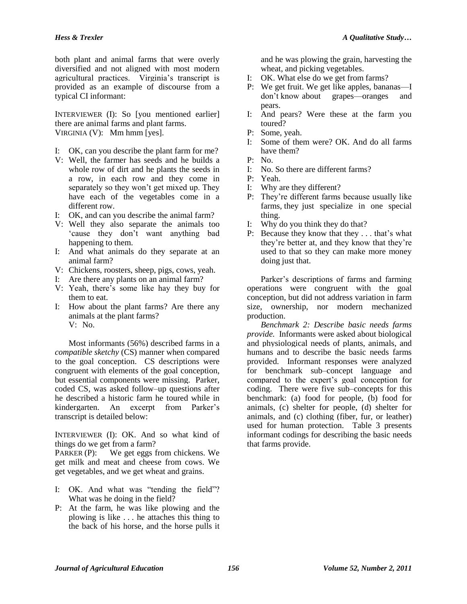both plant and animal farms that were overly diversified and not aligned with most modern agricultural practices. Virginia's transcript is provided as an example of discourse from a typical CI informant:

INTERVIEWER (I): So [you mentioned earlier] there are animal farms and plant farms. VIRGINIA (V): Mm hmm [yes].

- I: OK, can you describe the plant farm for me?
- V: Well, the farmer has seeds and he builds a whole row of dirt and he plants the seeds in a row, in each row and they come in separately so they won't get mixed up. They have each of the vegetables come in a different row.
- I: OK, and can you describe the animal farm?
- V: Well they also separate the animals too 'cause they don't want anything bad happening to them.
- I: And what animals do they separate at an animal farm?
- V: Chickens, roosters, sheep, pigs, cows, yeah.
- I: Are there any plants on an animal farm?
- V: Yeah, there's some like hay they buy for them to eat.
- I: How about the plant farms? Are there any animals at the plant farms?  $V: No.$

Most informants (56%) described farms in a *compatible sketchy* (CS) manner when compared to the goal conception. CS descriptions were congruent with elements of the goal conception, but essential components were missing. Parker, coded CS, was asked follow–up questions after he described a historic farm he toured while in kindergarten. An excerpt from Parker's transcript is detailed below:

INTERVIEWER (I): OK. And so what kind of things do we get from a farm?

PARKER (P): We get eggs from chickens. We get milk and meat and cheese from cows. We get vegetables, and we get wheat and grains.

- I: OK. And what was "tending the field"? What was he doing in the field?
- P: At the farm, he was like plowing and the plowing is like . . . he attaches this thing to the back of his horse, and the horse pulls it

and he was plowing the grain, harvesting the wheat, and picking vegetables.

- I: OK. What else do we get from farms?
- P: We get fruit. We get like apples, bananas—I don't know about grapes—oranges and pears.
- I: And pears? Were these at the farm you toured?
- P: Some, yeah.
- I: Some of them were? OK. And do all farms have them?
- P: No.
- I: No. So there are different farms?
- P: Yeah.
- I: Why are they different?
- P: They're different farms because usually like farms, they just specialize in one special thing.
- I: Why do you think they do that?
- P: Because they know that they . . . that's what they're better at, and they know that they're used to that so they can make more money doing just that.

Parker's descriptions of farms and farming operations were congruent with the goal conception, but did not address variation in farm size, ownership, nor modern mechanized production.

*Benchmark 2: Describe basic needs farms provide.* Informants were asked about biological and physiological needs of plants, animals, and humans and to describe the basic needs farms provided. Informant responses were analyzed for benchmark sub–concept language and compared to the expert's goal conception for coding. There were five sub–concepts for this benchmark: (a) food for people, (b) food for animals, (c) shelter for people, (d) shelter for animals, and (c) clothing (fiber, fur, or leather) used for human protection. Table 3 presents informant codings for describing the basic needs that farms provide.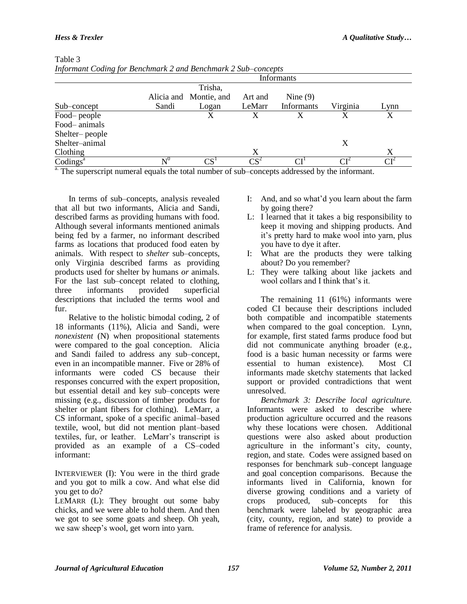$T<sub>1</sub>$   $\sim$ 

| Informant Coaing for Benchmark 2 and Benchmark 2 Sub-concepts |                |                        |         |                          |          |              |
|---------------------------------------------------------------|----------------|------------------------|---------|--------------------------|----------|--------------|
|                                                               |                |                        |         | Informants               |          |              |
|                                                               |                | Trisha,                |         |                          |          |              |
|                                                               |                | Alicia and Montie, and | Art and | Nine $(9)$               |          |              |
| Sub–concept                                                   | Sandi          | Logan                  | LeMarr  | <b>Informants</b>        | Virginia | Lynn         |
| Food-people                                                   |                | X                      | X       |                          | X        | X            |
| Food-animals                                                  |                |                        |         |                          |          |              |
| Shelter-people                                                |                |                        |         |                          |          |              |
| Shelter-animal                                                |                |                        |         |                          | X        |              |
| Clothing                                                      |                |                        | X       |                          |          | X            |
| $\text{Codings}^a$                                            | $\mathbf{N}^0$ | $\mathrm{CS}^1$        | $CS^2$  | $\mathsf{C}\mathsf{I}^1$ | $\cap$ T | $\rm CI^{2}$ |
| $\sim$ $-$                                                    |                |                        |         |                          |          |              |

| L'able 5 |  |  |                                                               |
|----------|--|--|---------------------------------------------------------------|
|          |  |  | Informant Coding for Benchmark 2 and Benchmark 2 Sub–concepts |

<sup>a.</sup> The superscript numeral equals the total number of sub–concepts addressed by the informant.

In terms of sub–concepts, analysis revealed that all but two informants, Alicia and Sandi, described farms as providing humans with food. Although several informants mentioned animals being fed by a farmer, no informant described farms as locations that produced food eaten by animals. With respect to *shelter* sub–concepts, only Virginia described farms as providing products used for shelter by humans *or* animals. For the last sub–concept related to clothing, three informants provided superficial descriptions that included the terms wool and fur.

Relative to the holistic bimodal coding, 2 of 18 informants (11%), Alicia and Sandi, were *nonexistent* (N) when propositional statements were compared to the goal conception. Alicia and Sandi failed to address any sub–concept, even in an incompatible manner. Five or 28% of informants were coded CS because their responses concurred with the expert proposition, but essential detail and key sub–concepts were missing (e.g., discussion of timber products for shelter or plant fibers for clothing). LeMarr, a CS informant, spoke of a specific animal–based textile, wool, but did not mention plant–based textiles, fur, or leather. LeMarr's transcript is provided as an example of a CS–coded informant:

INTERVIEWER (I): You were in the third grade and you got to milk a cow. And what else did you get to do?

LEMARR (L): They brought out some baby chicks, and we were able to hold them. And then we got to see some goats and sheep. Oh yeah, we saw sheep's wool, get worn into yarn.

- I: And, and so what'd you learn about the farm by going there?
- L: I learned that it takes a big responsibility to keep it moving and shipping products. And it's pretty hard to make wool into yarn, plus you have to dye it after.
- I: What are the products they were talking about? Do you remember?
- L: They were talking about like jackets and wool collars and I think that's it.

The remaining 11 (61%) informants were coded CI because their descriptions included both compatible and incompatible statements when compared to the goal conception. Lynn, for example, first stated farms produce food but did not communicate anything broader (e.g., food is a basic human necessity or farms were essential to human existence). Most CI informants made sketchy statements that lacked support or provided contradictions that went unresolved.

*Benchmark 3: Describe local agriculture.* Informants were asked to describe where production agriculture occurred and the reasons why these locations were chosen. Additional questions were also asked about production agriculture in the informant's city, county, region, and state. Codes were assigned based on responses for benchmark sub–concept language and goal conception comparisons. Because the informants lived in California, known for diverse growing conditions and a variety of crops produced, sub–concepts for this benchmark were labeled by geographic area (city, county, region, and state) to provide a frame of reference for analysis.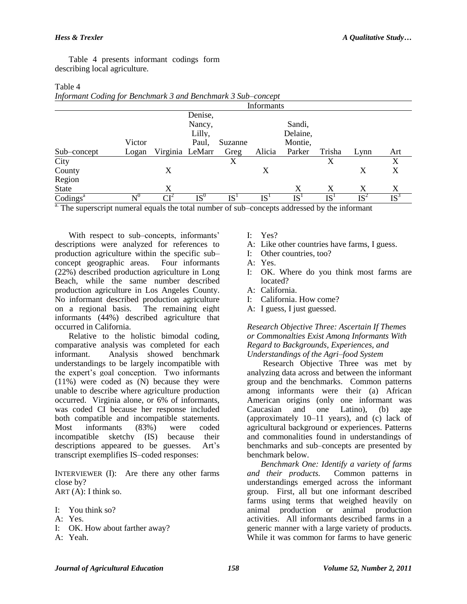Table 4

Table 4 presents informant codings form describing local agriculture.

| Informatic County for Denemiative and Denemiative Suite concept |                  |                 |         |                 |                 |                 |                 |        |        |
|-----------------------------------------------------------------|------------------|-----------------|---------|-----------------|-----------------|-----------------|-----------------|--------|--------|
|                                                                 |                  |                 |         |                 | Informants      |                 |                 |        |        |
|                                                                 |                  |                 | Denise, |                 |                 |                 |                 |        |        |
|                                                                 |                  |                 | Nancy,  |                 |                 | Sandi,          |                 |        |        |
|                                                                 |                  |                 | Lilly,  |                 |                 | Delaine,        |                 |        |        |
|                                                                 | Victor           |                 | Paul,   | Suzanne         |                 | Montie,         |                 |        |        |
| Sub-concept                                                     | Logan            | Virginia LeMarr |         | Greg            | Alicia          | Parker          | Trisha          | Lynn   | Art    |
| City                                                            |                  |                 |         | X               |                 |                 | X               |        | X      |
| County                                                          |                  | X               |         |                 | Χ               |                 |                 | X      | X      |
| Region                                                          |                  |                 |         |                 |                 |                 |                 |        |        |
| State                                                           |                  | X               |         |                 |                 | X               | X               | X      | X      |
| $\text{Codings}^{\text{a}}$                                     | $\mathrm{N}^{0}$ | $CI^2$          | $IS^0$  | $\mathrm{IS}^1$ | $\mathrm{IS}^1$ | IS <sup>1</sup> | IS <sup>1</sup> | $IS^2$ | $IS^3$ |

| TMOTO I                                                      |  |
|--------------------------------------------------------------|--|
| Informant Coding for Benchmark 3 and Benchmark 3 Sub–concept |  |
|                                                              |  |

<sup>a.</sup> The superscript numeral equals the total number of sub–concepts addressed by the informant

With respect to sub–concepts, informants' descriptions were analyzed for references to production agriculture within the specific sub– concept geographic areas. Four informants (22%) described production agriculture in Long Beach, while the same number described production agriculture in Los Angeles County. No informant described production agriculture on a regional basis. The remaining eight informants (44%) described agriculture that occurred in California.

Relative to the holistic bimodal coding, comparative analysis was completed for each informant. Analysis showed benchmark understandings to be largely incompatible with the expert's goal conception. Two informants (11%) were coded as (N) because they were unable to describe where agriculture production occurred. Virginia alone, or 6% of informants, was coded CI because her response included both compatible and incompatible statements. Most informants (83%) were coded incompatible sketchy (IS) because their descriptions appeared to be guesses. Art's transcript exemplifies IS–coded responses:

INTERVIEWER (I): Are there any other farms close by? ART (A): I think so.

I: You think so?

- A: Yes.
- I: OK. How about farther away?
- A: Yeah.

I: Yes?

- A: Like other countries have farms, I guess.
- I: Other countries, too?
- A: Yes.
- I: OK. Where do you think most farms are located?
- A: California.
- I: California. How come?
- A: I guess, I just guessed.

*Research Objective Three: Ascertain If Themes or Commonalties Exist Among Informants With Regard to Backgrounds, Experiences, and Understandings of the Agri–food System* 

Research Objective Three was met by analyzing data across and between the informant group and the benchmarks. Common patterns among informants were their (a) African American origins (only one informant was Caucasian and one Latino), (b) age (approximately 10–11 years), and (c) lack of agricultural background or experiences. Patterns and commonalities found in understandings of benchmarks and sub–concepts are presented by benchmark below.

*Benchmark One: Identify a variety of farms and their products.* Common patterns in understandings emerged across the informant group. First, all but one informant described farms using terms that weighed heavily on animal production or animal production activities. All informants described farms in a generic manner with a large variety of products. While it was common for farms to have generic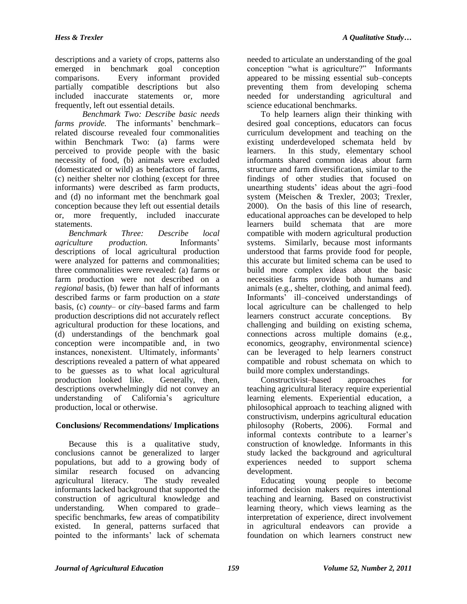descriptions and a variety of crops, patterns also emerged in benchmark goal conception comparisons. Every informant provided partially compatible descriptions but also included inaccurate statements or, more frequently, left out essential details.

*Benchmark Two: Describe basic needs farms provide.* The informants' benchmark– related discourse revealed four commonalities within Benchmark Two: (a) farms were perceived to provide people with the basic necessity of food, (b) animals were excluded (domesticated or wild) as benefactors of farms, (c) neither shelter nor clothing (except for three informants) were described as farm products, and (d) no informant met the benchmark goal conception because they left out essential details or, more frequently, included inaccurate statements.

*Benchmark Three: Describe local agriculture production.* Informants' descriptions of local agricultural production were analyzed for patterns and commonalities; three commonalities were revealed: (a) farms or farm production were not described on a *regional* basis, (b) fewer than half of informants described farms or farm production on a *state* basis, (c) *county–* or *city*–based farms and farm production descriptions did not accurately reflect agricultural production for these locations, and (d) understandings of the benchmark goal conception were incompatible and, in two instances, nonexistent. Ultimately, informants' descriptions revealed a pattern of what appeared to be guesses as to what local agricultural production looked like. Generally, then, descriptions overwhelmingly did not convey an understanding of California's agriculture production, local or otherwise.

# **Conclusions/ Recommendations/ Implications**

Because this is a qualitative study, conclusions cannot be generalized to larger populations, but add to a growing body of similar research focused on advancing agricultural literacy. The study revealed informants lacked background that supported the construction of agricultural knowledge and understanding. When compared to grade– specific benchmarks, few areas of compatibility existed. In general, patterns surfaced that pointed to the informants' lack of schemata

needed to articulate an understanding of the goal conception "what is agriculture?" Informants appeared to be missing essential sub–concepts preventing them from developing schema needed for understanding agricultural and science educational benchmarks.

To help learners align their thinking with desired goal conceptions, educators can focus curriculum development and teaching on the existing underdeveloped schemata held by learners. In this study, elementary school informants shared common ideas about farm structure and farm diversification, similar to the findings of other studies that focused on unearthing students' ideas about the agri–food system (Meischen & Trexler, 2003; Trexler, 2000). On the basis of this line of research, educational approaches can be developed to help learners build schemata that are more compatible with modern agricultural production systems. Similarly, because most informants understood that farms provide food for people, this accurate but limited schema can be used to build more complex ideas about the basic necessities farms provide both humans and animals (e.g., shelter, clothing, and animal feed). Informants' ill–conceived understandings of local agriculture can be challenged to help learners construct accurate conceptions. By challenging and building on existing schema, connections across multiple domains (e.g., economics, geography, environmental science) can be leveraged to help learners construct compatible and robust schemata on which to build more complex understandings.

Constructivist–based approaches for teaching agricultural literacy require experiential learning elements. Experiential education, a philosophical approach to teaching aligned with constructivism, underpins agricultural education philosophy (Roberts, 2006). Formal and informal contexts contribute to a learner's construction of knowledge. Informants in this study lacked the background and agricultural experiences needed to support schema development.

Educating young people to become informed decision makers requires intentional teaching and learning. Based on constructivist learning theory, which views learning as the interpretation of experience, direct involvement in agricultural endeavors can provide a foundation on which learners construct new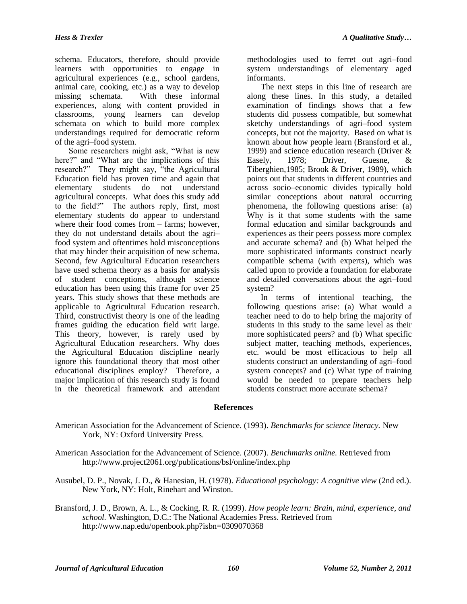schema. Educators, therefore, should provide learners with opportunities to engage in agricultural experiences (e.g., school gardens, animal care, cooking, etc.) as a way to develop missing schemata. With these informal experiences, along with content provided in classrooms, young learners can develop schemata on which to build more complex understandings required for democratic reform of the agri–food system.

Some researchers might ask, "What is new here?" and "What are the implications of this research?" They might say, "the Agricultural Education field has proven time and again that elementary students do not understand agricultural concepts. What does this study add to the field?" The authors reply, first, most elementary students do appear to understand where their food comes from – farms; however, they do not understand details about the agri– food system and oftentimes hold misconceptions that may hinder their acquisition of new schema. Second, few Agricultural Education researchers have used schema theory as a basis for analysis of student conceptions, although science education has been using this frame for over 25 years. This study shows that these methods are applicable to Agricultural Education research. Third, constructivist theory is one of the leading frames guiding the education field writ large. This theory, however, is rarely used by Agricultural Education researchers. Why does the Agricultural Education discipline nearly ignore this foundational theory that most other educational disciplines employ? Therefore, a major implication of this research study is found in the theoretical framework and attendant

methodologies used to ferret out agri–food system understandings of elementary aged informants.

The next steps in this line of research are along these lines. In this study, a detailed examination of findings shows that a few students did possess compatible, but somewhat sketchy understandings of agri–food system concepts, but not the majority. Based on what is known about how people learn (Bransford et al., 1999) and science education research (Driver & Easely, 1978; Driver, Guesne, & Tiberghien,1985; Brook & Driver, 1989), which points out that students in different countries and across socio–economic divides typically hold similar conceptions about natural occurring phenomena, the following questions arise: (a) Why is it that some students with the same formal education and similar backgrounds and experiences as their peers possess more complex and accurate schema? and (b) What helped the more sophisticated informants construct nearly compatible schema (with experts), which was called upon to provide a foundation for elaborate and detailed conversations about the agri–food system?

In terms of intentional teaching, the following questions arise: (a) What would a teacher need to do to help bring the majority of students in this study to the same level as their more sophisticated peers? and (b) What specific subject matter, teaching methods, experiences, etc. would be most efficacious to help all students construct an understanding of agri–food system concepts? and (c) What type of training would be needed to prepare teachers help students construct more accurate schema?

## **References**

- American Association for the Advancement of Science. (1993). *Benchmarks for science literacy.* New York, NY: Oxford University Press.
- American Association for the Advancement of Science. (2007). *Benchmarks online.* Retrieved from http://www.project2061.org/publications/bsl/online/index.php
- Ausubel, D. P., Novak, J. D., & Hanesian, H. (1978). *Educational psychology: A cognitive view* (2nd ed.). New York, NY: Holt, Rinehart and Winston.
- Bransford, J. D., Brown, A. L., & Cocking, R. R. (1999). *How people learn: Brain, mind, experience, and school.* Washington, D.C.: The National Academies Press. Retrieved from http://www.nap.edu/openbook.php?isbn=0309070368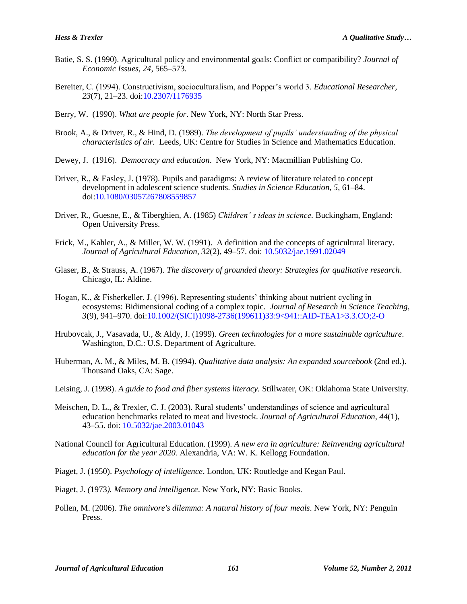- Batie, S. S. (1990). Agricultural policy and environmental goals: Conflict or compatibility? *Journal of Economic Issues, 24*, 565–573.
- Bereiter, C. (1994). Constructivism, socioculturalism, and Popper's world 3. *Educational Researcher, 23*(7), 21–23. [doi:10.2307/1176935](http://dx.doi.org/10.2307%2F1176935)
- Berry, W. (1990). *What are people for*. New York, NY: North Star Press.
- Brook, A., & Driver, R., & Hind, D. (1989). *The development of pupils' understanding of the physical characteristics of air.* Leeds, UK: Centre for Studies in Science and Mathematics Education.
- Dewey, J. (1916). *Democracy and education*. New York, NY: Macmillian Publishing Co.
- Driver, R., & Easley, J. (1978). Pupils and paradigms: A review of literature related to concept development in adolescent science students*. Studies in Science Education, 5*, 61–84. [doi:10.1080/03057267808559857](http://dx.doi.org/10.1080%2F03057267808559857)
- Driver, R., Guesne, E., & Tiberghien, A. (1985) *Children' s ideas in science.* Buckingham, England: Open University Press.
- Frick, M., Kahler, A., & Miller, W. W. (1991). A definition and the concepts of agricultural literacy. *Journal of Agricultural Education, 32*(2), 49–57. doi: [10.5032/jae.1991.02049](http://dx.doi.org/10.5032/jae.1991.02049)
- Glaser, B., & Strauss, A. (1967). *The discovery of grounded theory: Strategies for qualitative research*. Chicago, IL: Aldine.
- Hogan, K., & Fisherkeller, J. (1996). Representing students' thinking about nutrient cycling in ecosystems: Bidimensional coding of a complex topic. *Journal of Research in Science Teaching*, *3*(9), 941–970. [doi:10.1002/\(SICI\)1098-2736\(199611\)33:9<941::AID-TEA1>3.3.CO;2-O](http://dx.doi.org/10.1002%2F%28SICI%291098-2736%28199611%2933%3A9%3C941%3A%3AAID-TEA1%3E3.3.CO%3B2-O)
- Hrubovcak, J., Vasavada, U., & Aldy, J. (1999). *Green technologies for a more sustainable agriculture*. Washington, D.C.: U.S. Department of Agriculture.
- Huberman, A. M., & Miles, M. B. (1994). *Qualitative data analysis: An expanded sourcebook* (2nd ed.). Thousand Oaks, CA: Sage.
- Leising, J. (1998). *A guide to food and fiber systems literacy.* Stillwater, OK: Oklahoma State University.
- Meischen, D. L., & Trexler, C. J. (2003). Rural students' understandings of science and agricultural education benchmarks related to meat and livestock. *Journal of Agricultural Education, 44*(1), 43–55. doi[: 10.5032/jae.2003.01043](http://dx.doi.org/10.5032/jae.2003.01043)
- National Council for Agricultural Education. (1999). *A new era in agriculture: Reinventing agricultural education for the year 2020.* Alexandria, VA: W. K. Kellogg Foundation.
- Piaget, J. (1950). *Psychology of intelligence*. London, UK: Routledge and Kegan Paul.
- Piaget*,* J. *(*1973*). Memory and intelligence*. New York, NY: Basic Books.
- Pollen, M. (2006). *The omnivore's dilemma: A natural history of four meals*. New York, NY: Penguin Press.